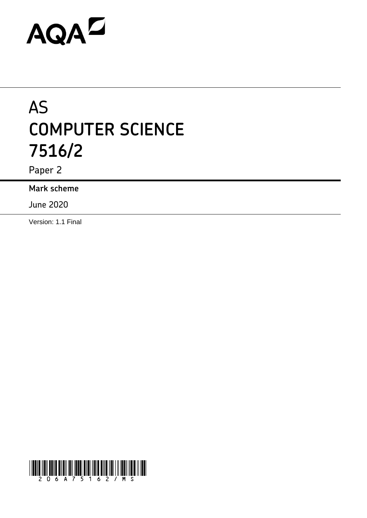# **AQAL**

# AS **COMPUTER SCIENCE 7516/2**

Paper 2

**Mark scheme**

June 2020

Version: 1.1 Final

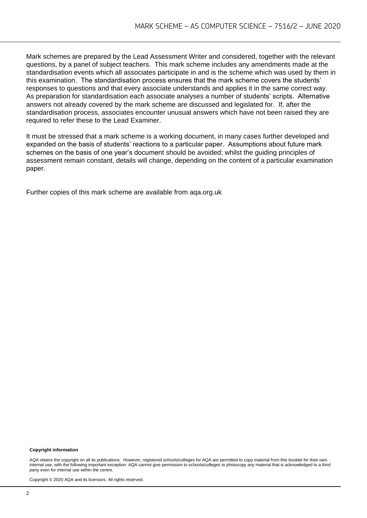Mark schemes are prepared by the Lead Assessment Writer and considered, together with the relevant questions, by a panel of subject teachers. This mark scheme includes any amendments made at the standardisation events which all associates participate in and is the scheme which was used by them in this examination. The standardisation process ensures that the mark scheme covers the students' responses to questions and that every associate understands and applies it in the same correct way. As preparation for standardisation each associate analyses a number of students' scripts. Alternative answers not already covered by the mark scheme are discussed and legislated for. If, after the standardisation process, associates encounter unusual answers which have not been raised they are required to refer these to the Lead Examiner.

It must be stressed that a mark scheme is a working document, in many cases further developed and expanded on the basis of students' reactions to a particular paper. Assumptions about future mark schemes on the basis of one year's document should be avoided; whilst the guiding principles of assessment remain constant, details will change, depending on the content of a particular examination paper.

Further copies of this mark scheme are available from aqa.org.uk

#### **Copyright information**

AQA retains the copyright on all its publications. However, registered schools/colleges for AQA are permitted to copy material from this booklet for their own internal use, with the following important exception: AQA cannot give permission to schools/colleges to photocopy any material that is acknowledged to a third party even for internal use within the centre.

Copyright © 2020 AQA and its licensors. All rights reserved.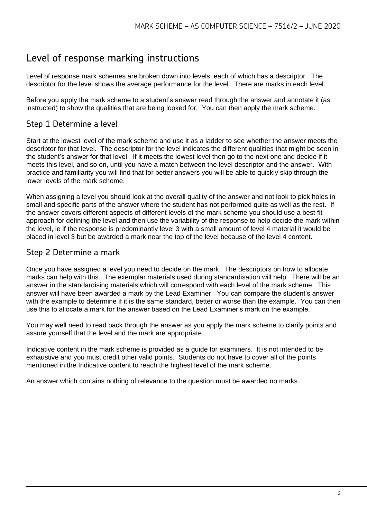### Level of response marking instructions

Level of response mark schemes are broken down into levels, each of which has a descriptor. The descriptor for the level shows the average performance for the level. There are marks in each level.

Before you apply the mark scheme to a student's answer read through the answer and annotate it (as instructed) to show the qualities that are being looked for. You can then apply the mark scheme.

#### Step 1 Determine a level

Start at the lowest level of the mark scheme and use it as a ladder to see whether the answer meets the descriptor for that level. The descriptor for the level indicates the different qualities that might be seen in the student's answer for that level. If it meets the lowest level then go to the next one and decide if it meets this level, and so on, until you have a match between the level descriptor and the answer. With practice and familiarity you will find that for better answers you will be able to quickly skip through the lower levels of the mark scheme.

When assigning a level you should look at the overall quality of the answer and not look to pick holes in small and specific parts of the answer where the student has not performed quite as well as the rest. If the answer covers different aspects of different levels of the mark scheme you should use a best fit approach for defining the level and then use the variability of the response to help decide the mark within the level, ie if the response is predominantly level 3 with a small amount of level 4 material it would be placed in level 3 but be awarded a mark near the top of the level because of the level 4 content.

#### Step 2 Determine a mark

Once you have assigned a level you need to decide on the mark. The descriptors on how to allocate marks can help with this. The exemplar materials used during standardisation will help. There will be an answer in the standardising materials which will correspond with each level of the mark scheme. This answer will have been awarded a mark by the Lead Examiner. You can compare the student's answer with the example to determine if it is the same standard, better or worse than the example. You can then use this to allocate a mark for the answer based on the Lead Examiner's mark on the example.

You may well need to read back through the answer as you apply the mark scheme to clarify points and assure yourself that the level and the mark are appropriate.

Indicative content in the mark scheme is provided as a guide for examiners. It is not intended to be exhaustive and you must credit other valid points. Students do not have to cover all of the points mentioned in the Indicative content to reach the highest level of the mark scheme.

An answer which contains nothing of relevance to the question must be awarded no marks.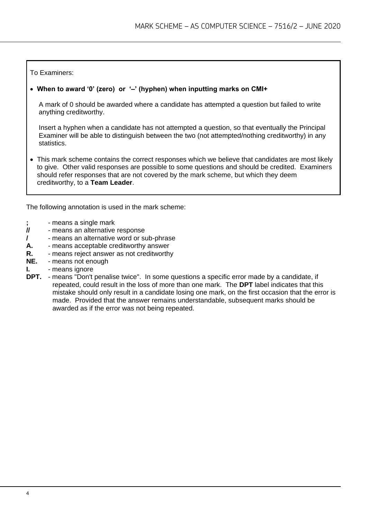#### To Examiners:

#### • **When to award '0' (zero) or '–' (hyphen) when inputting marks on CMI+**

A mark of 0 should be awarded where a candidate has attempted a question but failed to write anything creditworthy.

Insert a hyphen when a candidate has not attempted a question, so that eventually the Principal Examiner will be able to distinguish between the two (not attempted/nothing creditworthy) in any statistics.

• This mark scheme contains the correct responses which we believe that candidates are most likely to give. Other valid responses are possible to some questions and should be credited. Examiners should refer responses that are not covered by the mark scheme, but which they deem creditworthy, to a **Team Leader**.

The following annotation is used in the mark scheme:

- **;** means a single mark<br>*II* means an alternative
- **//** means an alternative response
- **/**  means an alternative word or sub-phrase
- **A.** means acceptable creditworthy answer
- **R.** means reject answer as not creditworthy
- **NE.** means not enough
- **I.** means ignore
- **DPT.** means "Don't penalise twice". In some questions a specific error made by a candidate, if repeated, could result in the loss of more than one mark. The **DPT** label indicates that this mistake should only result in a candidate losing one mark, on the first occasion that the error is made. Provided that the answer remains understandable, subsequent marks should be awarded as if the error was not being repeated.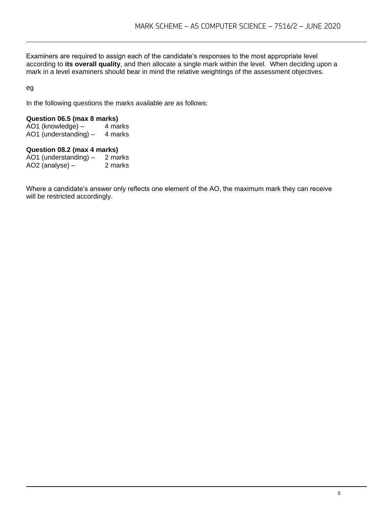Examiners are required to assign each of the candidate's responses to the most appropriate level according to **its overall quality**, and then allocate a single mark within the level. When deciding upon a mark in a level examiners should bear in mind the relative weightings of the assessment objectives.

eg

In the following questions the marks available are as follows:

## **Question 06.5 (max 8 marks)**

AO1 (knowledge)  $-$ AO1 (understanding)  $-$  4 marks

#### **Question 08.2 (max 4 marks)**

AO1 (understanding) - 2 marks<br>AO2 (analyse) - 2 marks AO2 (analyse)  $-$ 

Where a candidate's answer only reflects one element of the AO, the maximum mark they can receive will be restricted accordingly.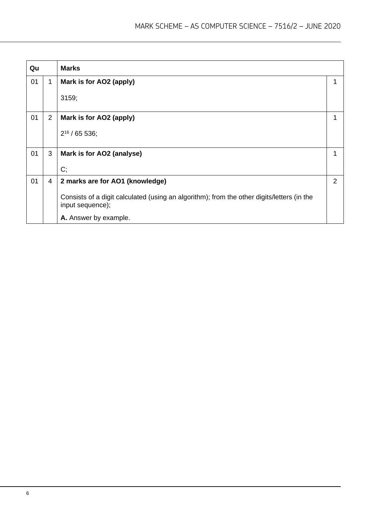| Qu |                | <b>Marks</b>                                                                                                   |   |
|----|----------------|----------------------------------------------------------------------------------------------------------------|---|
| 01 | $\mathbf 1$    | Mark is for AO2 (apply)                                                                                        | 1 |
|    |                | 3159;                                                                                                          |   |
| 01 | $\overline{2}$ | Mark is for AO2 (apply)                                                                                        | 1 |
|    |                | $2^{16}$ / 65 536;                                                                                             |   |
| 01 | 3              | Mark is for AO2 (analyse)                                                                                      | 1 |
|    |                | C;                                                                                                             |   |
| 01 | 4              | 2 marks are for AO1 (knowledge)                                                                                | 2 |
|    |                | Consists of a digit calculated (using an algorithm); from the other digits/letters (in the<br>input sequence); |   |
|    |                | A. Answer by example.                                                                                          |   |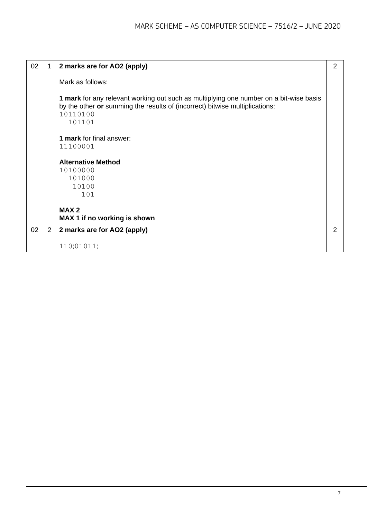| 02 | 1              | 2 marks are for AO2 (apply)                                                                                                                                                                 | $\overline{2}$ |
|----|----------------|---------------------------------------------------------------------------------------------------------------------------------------------------------------------------------------------|----------------|
|    |                | Mark as follows:                                                                                                                                                                            |                |
|    |                | 1 mark for any relevant working out such as multiplying one number on a bit-wise basis<br>by the other or summing the results of (incorrect) bitwise multiplications:<br>10110100<br>101101 |                |
|    |                | <b>1 mark</b> for final answer:                                                                                                                                                             |                |
|    |                | 11100001                                                                                                                                                                                    |                |
|    |                | <b>Alternative Method</b>                                                                                                                                                                   |                |
|    |                | 10100000                                                                                                                                                                                    |                |
|    |                | 101000<br>10100                                                                                                                                                                             |                |
|    |                | 101                                                                                                                                                                                         |                |
|    |                |                                                                                                                                                                                             |                |
|    |                | MAX <sub>2</sub>                                                                                                                                                                            |                |
|    |                | MAX 1 if no working is shown                                                                                                                                                                |                |
| 02 | $\overline{2}$ | 2 marks are for AO2 (apply)                                                                                                                                                                 | 2              |
|    |                | 110;01011;                                                                                                                                                                                  |                |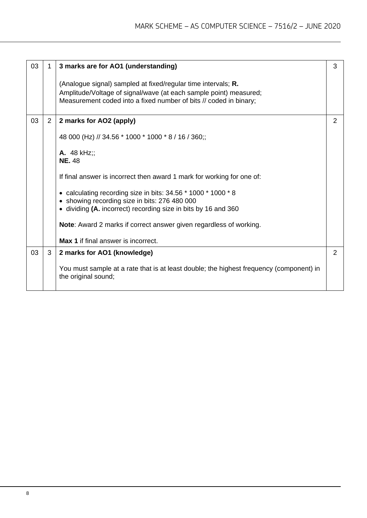| 03 | 1              | 3 marks are for AO1 (understanding)                                                                             | 3 |
|----|----------------|-----------------------------------------------------------------------------------------------------------------|---|
|    |                | (Analogue signal) sampled at fixed/regular time intervals; R.                                                   |   |
|    |                | Amplitude/Voltage of signal/wave (at each sample point) measured;                                               |   |
|    |                | Measurement coded into a fixed number of bits // coded in binary;                                               |   |
| 03 | $\overline{2}$ | 2 marks for AO2 (apply)                                                                                         | 2 |
|    |                | 48 000 (Hz) // 34.56 * 1000 * 1000 * 8 / 16 / 360;;                                                             |   |
|    |                | <b>A.</b> 48 $kHz$ ;                                                                                            |   |
|    |                | <b>NE. 48</b>                                                                                                   |   |
|    |                | If final answer is incorrect then award 1 mark for working for one of:                                          |   |
|    |                | • calculating recording size in bits: 34.56 * 1000 * 1000 * 8                                                   |   |
|    |                | • showing recording size in bits: 276 480 000<br>• dividing (A. incorrect) recording size in bits by 16 and 360 |   |
|    |                |                                                                                                                 |   |
|    |                | <b>Note:</b> Award 2 marks if correct answer given regardless of working.                                       |   |
|    |                | <b>Max 1</b> if final answer is incorrect.                                                                      |   |
| 03 | 3              | 2 marks for AO1 (knowledge)                                                                                     | 2 |
|    |                | You must sample at a rate that is at least double; the highest frequency (component) in<br>the original sound;  |   |
|    |                |                                                                                                                 |   |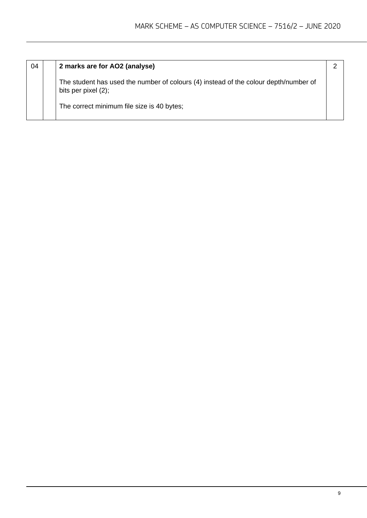| 04 | 2 marks are for AO2 (analyse)                                                                                  |  |
|----|----------------------------------------------------------------------------------------------------------------|--|
|    | The student has used the number of colours (4) instead of the colour depth/number of<br>bits per pixel $(2)$ ; |  |
|    | The correct minimum file size is 40 bytes;                                                                     |  |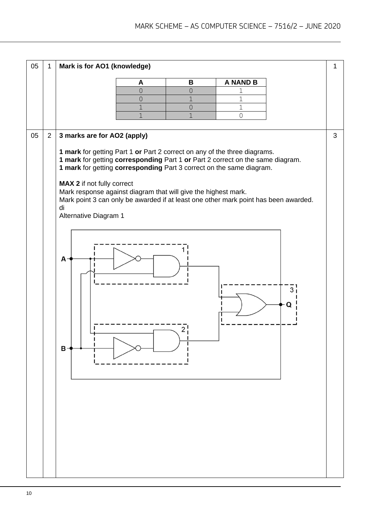| 05 | 1              | Mark is for AO1 (knowledge)                                                                                                                                                         |                |                |                 |        | 1 |
|----|----------------|-------------------------------------------------------------------------------------------------------------------------------------------------------------------------------------|----------------|----------------|-----------------|--------|---|
|    |                |                                                                                                                                                                                     | A              | B              | <b>A NAND B</b> |        |   |
|    |                |                                                                                                                                                                                     | $\overline{0}$ | 0              | 1               |        |   |
|    |                |                                                                                                                                                                                     | $\overline{O}$ | $\overline{1}$ | 1               |        |   |
|    |                |                                                                                                                                                                                     | $\mathbf 1$    | 0              | 1               |        |   |
|    |                |                                                                                                                                                                                     | $\mathbf{1}$   | 1              | $\overline{0}$  |        |   |
|    |                |                                                                                                                                                                                     |                |                |                 |        |   |
| 05 | $\overline{2}$ | 3 marks are for AO2 (apply)<br>1 mark for getting Part 1 or Part 2 correct on any of the three diagrams.                                                                            |                |                |                 |        | 3 |
|    |                | 1 mark for getting corresponding Part 1 or Part 2 correct on the same diagram.<br>1 mark for getting corresponding Part 3 correct on the same diagram.                              |                |                |                 |        |   |
|    |                | MAX 2 if not fully correct<br>Mark response against diagram that will give the highest mark.<br>Mark point 3 can only be awarded if at least one other mark point has been awarded. |                |                |                 |        |   |
|    |                | di<br>Alternative Diagram 1                                                                                                                                                         |                |                |                 |        |   |
|    |                | $\mathsf{A}$                                                                                                                                                                        |                |                |                 | 3<br>Q |   |
|    |                | в                                                                                                                                                                                   |                | 2              |                 |        |   |
|    |                |                                                                                                                                                                                     |                |                |                 |        |   |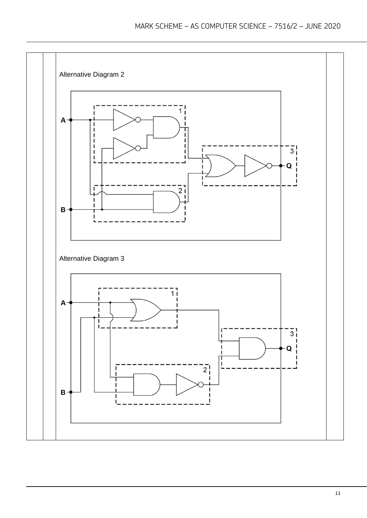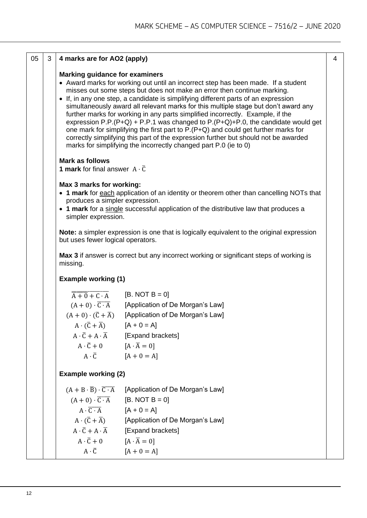| 05 | 3 | 4 marks are for AO2 (apply)                                                                                                                                                                                                                     |                                                                                                                                                                                                                                                                                                                                                                                                                                                                                                                                                                                                                                                                                                                                                                    | $\overline{4}$ |
|----|---|-------------------------------------------------------------------------------------------------------------------------------------------------------------------------------------------------------------------------------------------------|--------------------------------------------------------------------------------------------------------------------------------------------------------------------------------------------------------------------------------------------------------------------------------------------------------------------------------------------------------------------------------------------------------------------------------------------------------------------------------------------------------------------------------------------------------------------------------------------------------------------------------------------------------------------------------------------------------------------------------------------------------------------|----------------|
|    |   | <b>Marking guidance for examiners</b>                                                                                                                                                                                                           | • Award marks for working out until an incorrect step has been made. If a student<br>misses out some steps but does not make an error then continue marking.<br>• If, in any one step, a candidate is simplifying different parts of an expression<br>simultaneously award all relevant marks for this multiple stage but don't award any<br>further marks for working in any parts simplified incorrectly. Example, if the<br>expression P.P. (P+Q) + P.P.1 was changed to P. (P+Q)+P.0, the candidate would get<br>one mark for simplifying the first part to P.(P+Q) and could get further marks for<br>correctly simplifying this part of the expression further but should not be awarded<br>marks for simplifying the incorrectly changed part P.0 (ie to 0) |                |
|    |   | <b>Mark as follows</b><br><b>1 mark</b> for final answer $A \cdot \overline{C}$                                                                                                                                                                 |                                                                                                                                                                                                                                                                                                                                                                                                                                                                                                                                                                                                                                                                                                                                                                    |                |
|    |   | Max 3 marks for working:<br>produces a simpler expression.<br>simpler expression.                                                                                                                                                               | • 1 mark for each application of an identity or theorem other than cancelling NOTs that<br>• 1 mark for a single successful application of the distributive law that produces a                                                                                                                                                                                                                                                                                                                                                                                                                                                                                                                                                                                    |                |
|    |   | but uses fewer logical operators.                                                                                                                                                                                                               | Note: a simpler expression is one that is logically equivalent to the original expression                                                                                                                                                                                                                                                                                                                                                                                                                                                                                                                                                                                                                                                                          |                |
|    |   | missing.                                                                                                                                                                                                                                        | Max 3 if answer is correct but any incorrect working or significant steps of working is                                                                                                                                                                                                                                                                                                                                                                                                                                                                                                                                                                                                                                                                            |                |
|    |   | <b>Example working (1)</b>                                                                                                                                                                                                                      |                                                                                                                                                                                                                                                                                                                                                                                                                                                                                                                                                                                                                                                                                                                                                                    |                |
|    |   | $\overline{A+0}+\overline{C\cdot A}$<br>$(A + 0) \cdot \overline{C \cdot A}$<br>$(A + 0) \cdot (\overline{C} + \overline{A})$<br>$A \cdot (\overline{C} + \overline{A})$ [A + 0 = A]<br>$A \cdot \overline{C} + 0$ $[A \cdot \overline{A} = 0]$ | $[B. NOT B = 0]$<br>[Application of De Morgan's Law]<br>[Application of De Morgan's Law]<br>$A \cdot \overline{C} + A \cdot \overline{A}$ [Expand brackets]<br>$A \cdot \overline{C}$ [A + 0 = A]                                                                                                                                                                                                                                                                                                                                                                                                                                                                                                                                                                  |                |
|    |   | <b>Example working (2)</b>                                                                                                                                                                                                                      |                                                                                                                                                                                                                                                                                                                                                                                                                                                                                                                                                                                                                                                                                                                                                                    |                |
|    |   | $(A + B \cdot \overline{B}) \cdot \overline{C \cdot A}$<br>$(A + 0) \cdot \overline{C \cdot A}$<br>$A \cdot \overline{C \cdot A}$ [A + 0 = A]<br>$A \cdot \overline{C} + 0$ [ $A \cdot \overline{A} = 0$ ]                                      | [Application of De Morgan's Law]<br>$[B. NOT B = 0]$<br>$A \cdot (\overline{C} + \overline{A})$ [Application of De Morgan's Law]<br>$A \cdot \overline{C} + A \cdot \overline{A}$ [Expand brackets]<br>$A \cdot \overline{C}$ [A + 0 = A]                                                                                                                                                                                                                                                                                                                                                                                                                                                                                                                          |                |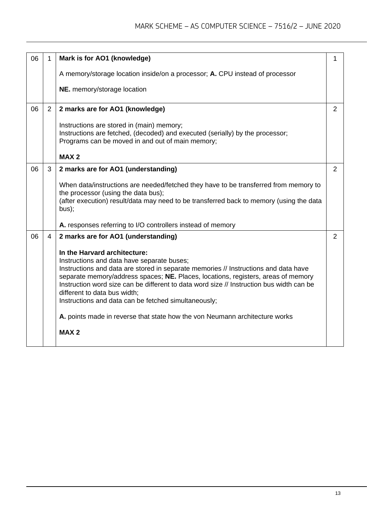| 06 | 1              | Mark is for AO1 (knowledge)                                                                                                                                                                                                                                                                                                                                                                                                                                                                                                              | 1              |
|----|----------------|------------------------------------------------------------------------------------------------------------------------------------------------------------------------------------------------------------------------------------------------------------------------------------------------------------------------------------------------------------------------------------------------------------------------------------------------------------------------------------------------------------------------------------------|----------------|
|    |                | A memory/storage location inside/on a processor; A. CPU instead of processor                                                                                                                                                                                                                                                                                                                                                                                                                                                             |                |
|    |                | NE. memory/storage location                                                                                                                                                                                                                                                                                                                                                                                                                                                                                                              |                |
| 06 | $\overline{2}$ | 2 marks are for AO1 (knowledge)                                                                                                                                                                                                                                                                                                                                                                                                                                                                                                          | $\overline{2}$ |
|    |                | Instructions are stored in (main) memory;<br>Instructions are fetched, (decoded) and executed (serially) by the processor;<br>Programs can be moved in and out of main memory;                                                                                                                                                                                                                                                                                                                                                           |                |
|    |                | <b>MAX2</b>                                                                                                                                                                                                                                                                                                                                                                                                                                                                                                                              |                |
| 06 | 3              | 2 marks are for AO1 (understanding)                                                                                                                                                                                                                                                                                                                                                                                                                                                                                                      | 2              |
|    |                | When data/instructions are needed/fetched they have to be transferred from memory to<br>the processor (using the data bus);<br>(after execution) result/data may need to be transferred back to memory (using the data<br>bus);                                                                                                                                                                                                                                                                                                          |                |
|    |                | A. responses referring to I/O controllers instead of memory                                                                                                                                                                                                                                                                                                                                                                                                                                                                              |                |
| 06 | $\overline{4}$ | 2 marks are for AO1 (understanding)                                                                                                                                                                                                                                                                                                                                                                                                                                                                                                      | $\overline{2}$ |
|    |                | In the Harvard architecture:<br>Instructions and data have separate buses;<br>Instructions and data are stored in separate memories // Instructions and data have<br>separate memory/address spaces; NE. Places, locations, registers, areas of memory<br>Instruction word size can be different to data word size // Instruction bus width can be<br>different to data bus width;<br>Instructions and data can be fetched simultaneously;<br>A. points made in reverse that state how the von Neumann architecture works<br><b>MAX2</b> |                |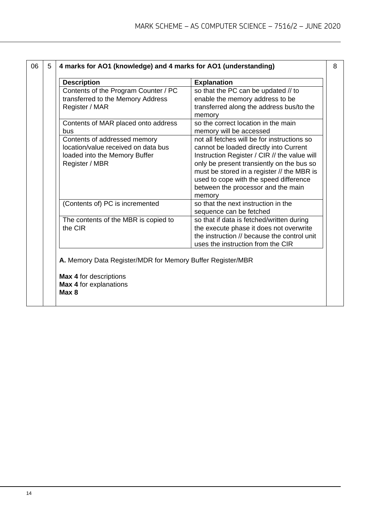| <b>Description</b>                                                                                                     | <b>Explanation</b>                                                                                                                                                                                                                                                                                                         |
|------------------------------------------------------------------------------------------------------------------------|----------------------------------------------------------------------------------------------------------------------------------------------------------------------------------------------------------------------------------------------------------------------------------------------------------------------------|
| Contents of the Program Counter / PC<br>transferred to the Memory Address<br>Register / MAR                            | so that the PC can be updated // to<br>enable the memory address to be<br>transferred along the address bus/to the<br>memory                                                                                                                                                                                               |
| Contents of MAR placed onto address<br>bus                                                                             | so the correct location in the main<br>memory will be accessed                                                                                                                                                                                                                                                             |
| Contents of addressed memory<br>location/value received on data bus<br>loaded into the Memory Buffer<br>Register / MBR | not all fetches will be for instructions so<br>cannot be loaded directly into Current<br>Instruction Register / CIR // the value will<br>only be present transiently on the bus so<br>must be stored in a register // the MBR is<br>used to cope with the speed difference<br>between the processor and the main<br>memory |
| (Contents of) PC is incremented                                                                                        | so that the next instruction in the<br>sequence can be fetched                                                                                                                                                                                                                                                             |
| The contents of the MBR is copied to<br>the CIR                                                                        | so that if data is fetched/written during<br>the execute phase it does not overwrite<br>the instruction // because the control unit<br>uses the instruction from the CIR                                                                                                                                                   |
| A. Memory Data Register/MDR for Memory Buffer Register/MBR                                                             |                                                                                                                                                                                                                                                                                                                            |
| <b>Max 4 for descriptions</b><br>Max 4 for explanations                                                                |                                                                                                                                                                                                                                                                                                                            |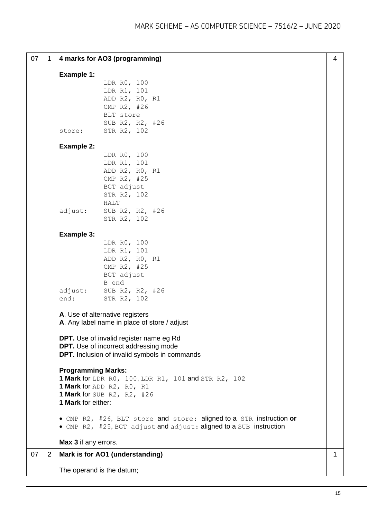| 07 | 1 |                           | 4 marks for AO3 (programming)                                                                  | 4            |
|----|---|---------------------------|------------------------------------------------------------------------------------------------|--------------|
|    |   | <b>Example 1:</b>         |                                                                                                |              |
|    |   |                           | LDR R0, 100                                                                                    |              |
|    |   |                           | LDR R1, 101                                                                                    |              |
|    |   |                           | ADD R2, R0, R1                                                                                 |              |
|    |   |                           | CMP R2, #26                                                                                    |              |
|    |   |                           | BLT store                                                                                      |              |
|    |   |                           | SUB R2, R2, #26                                                                                |              |
|    |   | store:                    | STR R2, 102                                                                                    |              |
|    |   |                           |                                                                                                |              |
|    |   | <b>Example 2:</b>         |                                                                                                |              |
|    |   |                           | LDR R0, 100                                                                                    |              |
|    |   |                           | LDR R1, 101                                                                                    |              |
|    |   |                           | ADD R2, R0, R1                                                                                 |              |
|    |   |                           | CMP R2, #25                                                                                    |              |
|    |   |                           | BGT adjust                                                                                     |              |
|    |   |                           | STR R2, 102                                                                                    |              |
|    |   |                           | HALT                                                                                           |              |
|    |   | adjust:                   | SUB R2, R2, #26                                                                                |              |
|    |   |                           | STR R2, 102                                                                                    |              |
|    |   | <b>Example 3:</b>         |                                                                                                |              |
|    |   |                           | LDR R0, 100                                                                                    |              |
|    |   |                           | LDR R1, 101                                                                                    |              |
|    |   |                           | ADD R2, R0, R1                                                                                 |              |
|    |   |                           | CMP R2, #25                                                                                    |              |
|    |   |                           | BGT adjust                                                                                     |              |
|    |   |                           | B end                                                                                          |              |
|    |   | adjust:                   | SUB R2, R2, #26                                                                                |              |
|    |   | end:                      | STR R2, 102                                                                                    |              |
|    |   |                           | A. Use of alternative registers                                                                |              |
|    |   |                           | A. Any label name in place of store / adjust                                                   |              |
|    |   |                           |                                                                                                |              |
|    |   |                           | <b>DPT.</b> Use of invalid register name eg Rd<br><b>DPT.</b> Use of incorrect addressing mode |              |
|    |   |                           | <b>DPT.</b> Inclusion of invalid symbols in commands                                           |              |
|    |   |                           |                                                                                                |              |
|    |   | <b>Programming Marks:</b> |                                                                                                |              |
|    |   |                           | <b>1 Mark for</b> LDR RO, 100, LDR R1, 101 and STR R2, 102                                     |              |
|    |   |                           | 1 Mark for ADD R2, R0, R1                                                                      |              |
|    |   |                           | 1 Mark for SUB R2, R2, $#26$                                                                   |              |
|    |   | 1 Mark for either:        |                                                                                                |              |
|    |   |                           |                                                                                                |              |
|    |   |                           | • CMP R2, #26, BLT store and store: aligned to a STR instruction or                            |              |
|    |   |                           | • CMP R2, #25, BGT adjust and adjust: aligned to a SUB instruction                             |              |
|    |   | Max 3 if any errors.      |                                                                                                |              |
| 07 | 2 |                           | Mark is for AO1 (understanding)                                                                | $\mathbf{1}$ |
|    |   |                           |                                                                                                |              |
|    |   | The operand is the datum; |                                                                                                |              |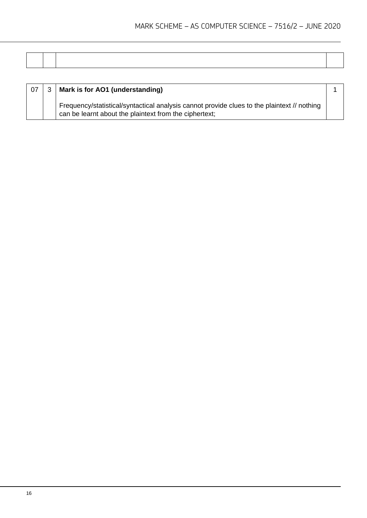| 07 | Mark is for AO1 (understanding)                                                                                                                       |  |
|----|-------------------------------------------------------------------------------------------------------------------------------------------------------|--|
|    | Frequency/statistical/syntactical analysis cannot provide clues to the plaintext // nothing<br>can be learnt about the plaintext from the ciphertext; |  |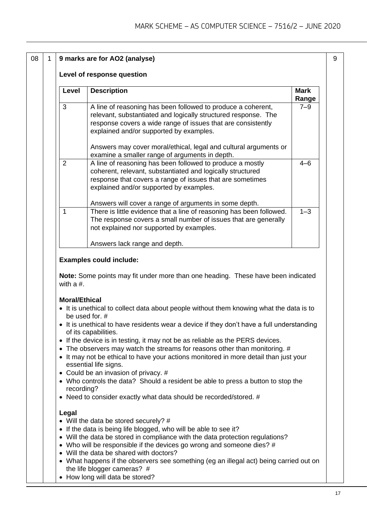| 08 | 9 marks are for AO2 (analyse) |       |                                                                                                                                                                                                                                           |                      |  |  |  |
|----|-------------------------------|-------|-------------------------------------------------------------------------------------------------------------------------------------------------------------------------------------------------------------------------------------------|----------------------|--|--|--|
|    |                               |       | Level of response question                                                                                                                                                                                                                |                      |  |  |  |
|    |                               | Level | <b>Description</b>                                                                                                                                                                                                                        | <b>Mark</b><br>Range |  |  |  |
|    |                               | 3     | A line of reasoning has been followed to produce a coherent,<br>relevant, substantiated and logically structured response. The<br>response covers a wide range of issues that are consistently<br>explained and/or supported by examples. | $7 - 9$              |  |  |  |
|    |                               |       | Answers may cover moral/ethical, legal and cultural arguments or<br>examine a smaller range of arguments in depth.                                                                                                                        |                      |  |  |  |
|    |                               | 2     | A line of reasoning has been followed to produce a mostly<br>coherent, relevant, substantiated and logically structured<br>response that covers a range of issues that are sometimes<br>explained and/or supported by examples.           | $4 - 6$              |  |  |  |
|    |                               |       | Answers will cover a range of arguments in some depth.                                                                                                                                                                                    |                      |  |  |  |
|    |                               | 1     | There is little evidence that a line of reasoning has been followed.<br>The response covers a small number of issues that are generally<br>not explained nor supported by examples.                                                       | $1 - 3$              |  |  |  |
|    |                               |       | Answers lack range and depth.                                                                                                                                                                                                             |                      |  |  |  |

#### **Examples could include:**

**Note:** Some points may fit under more than one heading. These have been indicated with a #.

#### **Moral/Ethical**

- It is unethical to collect data about people without them knowing what the data is to be used for. #
- It is unethical to have residents wear a device if they don't have a full understanding of its capabilities.
- If the device is in testing, it may not be as reliable as the PERS devices.
- The observers may watch the streams for reasons other than monitoring. #
- It may not be ethical to have your actions monitored in more detail than just your essential life signs.
- Could be an invasion of privacy. #
- Who controls the data? Should a resident be able to press a button to stop the recording?
- Need to consider exactly what data should be recorded/stored. #

#### **Legal**

- Will the data be stored securely? #
- If the data is being life blogged, who will be able to see it?
- Will the data be stored in compliance with the data protection regulations?
- Who will be responsible if the devices go wrong and someone dies? #
- Will the data be shared with doctors?
- What happens if the observers see something (eg an illegal act) being carried out on the life blogger cameras? #
- How long will data be stored?

9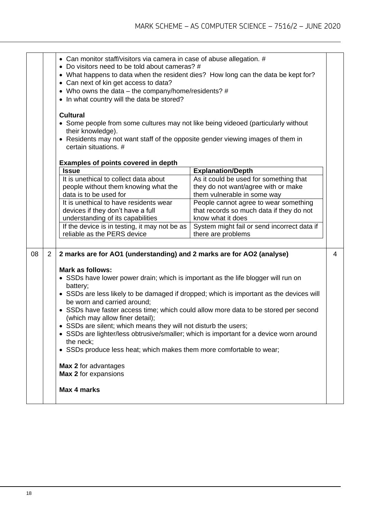|    |                | • Can monitor staff/visitors via camera in case of abuse allegation. #<br>• Do visitors need to be told about cameras? #<br>• What happens to data when the resident dies? How long can the data be kept for?<br>• Can next of kin get access to data?<br>• Who owns the data – the company/home/residents? $#$<br>• In what country will the data be stored?<br><b>Cultural</b><br>• Some people from some cultures may not like being videoed (particularly without<br>their knowledge).<br>• Residents may not want staff of the opposite gender viewing images of them in<br>certain situations. #                                                                                                                                                                 |                                                                                                              |   |
|----|----------------|------------------------------------------------------------------------------------------------------------------------------------------------------------------------------------------------------------------------------------------------------------------------------------------------------------------------------------------------------------------------------------------------------------------------------------------------------------------------------------------------------------------------------------------------------------------------------------------------------------------------------------------------------------------------------------------------------------------------------------------------------------------------|--------------------------------------------------------------------------------------------------------------|---|
|    |                | <b>Examples of points covered in depth</b>                                                                                                                                                                                                                                                                                                                                                                                                                                                                                                                                                                                                                                                                                                                             |                                                                                                              |   |
|    |                | <b>Issue</b>                                                                                                                                                                                                                                                                                                                                                                                                                                                                                                                                                                                                                                                                                                                                                           | <b>Explanation/Depth</b>                                                                                     |   |
|    |                | It is unethical to collect data about<br>people without them knowing what the<br>data is to be used for                                                                                                                                                                                                                                                                                                                                                                                                                                                                                                                                                                                                                                                                | As it could be used for something that<br>they do not want/agree with or make<br>them vulnerable in some way |   |
|    |                | It is unethical to have residents wear                                                                                                                                                                                                                                                                                                                                                                                                                                                                                                                                                                                                                                                                                                                                 | People cannot agree to wear something                                                                        |   |
|    |                | devices if they don't have a full                                                                                                                                                                                                                                                                                                                                                                                                                                                                                                                                                                                                                                                                                                                                      | that records so much data if they do not                                                                     |   |
|    |                | understanding of its capabilities                                                                                                                                                                                                                                                                                                                                                                                                                                                                                                                                                                                                                                                                                                                                      | know what it does                                                                                            |   |
|    |                | If the device is in testing, it may not be as<br>reliable as the PERS device                                                                                                                                                                                                                                                                                                                                                                                                                                                                                                                                                                                                                                                                                           | System might fail or send incorrect data if<br>there are problems                                            |   |
| 08 | $\overline{2}$ | 2 marks are for AO1 (understanding) and 2 marks are for AO2 (analyse)<br><b>Mark as follows:</b><br>• SSDs have lower power drain; which is important as the life blogger will run on<br>battery;<br>• SSDs are less likely to be damaged if dropped; which is important as the devices will<br>be worn and carried around;<br>• SSDs have faster access time; which could allow more data to be stored per second<br>(which may allow finer detail);<br>• SSDs are silent; which means they will not disturb the users;<br>• SSDs are lighter/less obtrusive/smaller; which is important for a device worn around<br>the neck;<br>• SSDs produce less heat; which makes them more comfortable to wear;<br>Max 2 for advantages<br>Max 2 for expansions<br>Max 4 marks |                                                                                                              | 4 |
|    |                |                                                                                                                                                                                                                                                                                                                                                                                                                                                                                                                                                                                                                                                                                                                                                                        |                                                                                                              |   |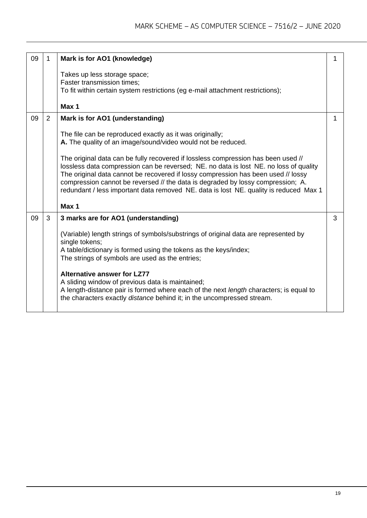| 09 | 1              | Mark is for AO1 (knowledge)                                                                                                                                                                                                                                                                                                                                                                                                                 |   |
|----|----------------|---------------------------------------------------------------------------------------------------------------------------------------------------------------------------------------------------------------------------------------------------------------------------------------------------------------------------------------------------------------------------------------------------------------------------------------------|---|
|    |                | Takes up less storage space;<br>Faster transmission times;<br>To fit within certain system restrictions (eg e-mail attachment restrictions);                                                                                                                                                                                                                                                                                                |   |
|    |                | Max 1                                                                                                                                                                                                                                                                                                                                                                                                                                       |   |
| 09 | $\overline{2}$ | Mark is for AO1 (understanding)                                                                                                                                                                                                                                                                                                                                                                                                             |   |
|    |                | The file can be reproduced exactly as it was originally;<br>A. The quality of an image/sound/video would not be reduced.                                                                                                                                                                                                                                                                                                                    |   |
|    |                | The original data can be fully recovered if lossless compression has been used //<br>lossless data compression can be reversed; NE. no data is lost NE. no loss of quality<br>The original data cannot be recovered if lossy compression has been used // lossy<br>compression cannot be reversed // the data is degraded by lossy compression; A.<br>redundant / less important data removed NE. data is lost NE. quality is reduced Max 1 |   |
|    |                | Max 1                                                                                                                                                                                                                                                                                                                                                                                                                                       |   |
| 09 | 3              | 3 marks are for AO1 (understanding)                                                                                                                                                                                                                                                                                                                                                                                                         | 3 |
|    |                | (Variable) length strings of symbols/substrings of original data are represented by<br>single tokens;<br>A table/dictionary is formed using the tokens as the keys/index;<br>The strings of symbols are used as the entries;                                                                                                                                                                                                                |   |
|    |                | <b>Alternative answer for LZ77</b><br>A sliding window of previous data is maintained;<br>A length-distance pair is formed where each of the next length characters; is equal to<br>the characters exactly distance behind it; in the uncompressed stream.                                                                                                                                                                                  |   |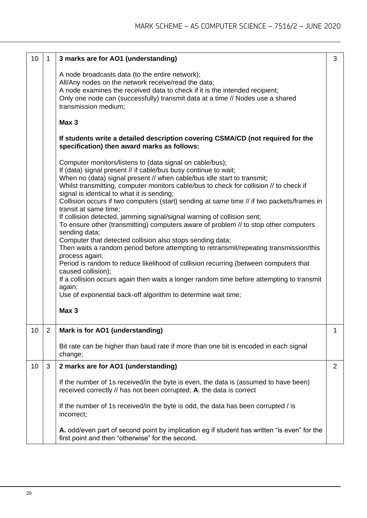| 10 | 1              | 3 marks are for AO1 (understanding)                                                                                                                                                                                                                                                                                                                                                                                                                                                                                                                                                                                                                                                                                                                                                                                                                                                                                                                                                                                                                                                                                               | 3 |  |
|----|----------------|-----------------------------------------------------------------------------------------------------------------------------------------------------------------------------------------------------------------------------------------------------------------------------------------------------------------------------------------------------------------------------------------------------------------------------------------------------------------------------------------------------------------------------------------------------------------------------------------------------------------------------------------------------------------------------------------------------------------------------------------------------------------------------------------------------------------------------------------------------------------------------------------------------------------------------------------------------------------------------------------------------------------------------------------------------------------------------------------------------------------------------------|---|--|
|    |                | A node broadcasts data (to the entire network);<br>All/Any nodes on the network receive/read the data;<br>A node examines the received data to check if it is the intended recipient;<br>Only one node can (successfully) transmit data at a time // Nodes use a shared<br>transmission medium;                                                                                                                                                                                                                                                                                                                                                                                                                                                                                                                                                                                                                                                                                                                                                                                                                                   |   |  |
|    |                | Max 3                                                                                                                                                                                                                                                                                                                                                                                                                                                                                                                                                                                                                                                                                                                                                                                                                                                                                                                                                                                                                                                                                                                             |   |  |
|    |                | If students write a detailed description covering CSMA/CD (not required for the<br>specification) then award marks as follows:                                                                                                                                                                                                                                                                                                                                                                                                                                                                                                                                                                                                                                                                                                                                                                                                                                                                                                                                                                                                    |   |  |
|    |                | Computer monitors/listens to (data signal on cable/bus);<br>If (data) signal present // if cable/bus busy continue to wait;<br>When no (data) signal present // when cable/bus idle start to transmit;<br>Whilst transmitting, computer monitors cable/bus to check for collision // to check if<br>signal is identical to what it is sending;<br>Collision occurs if two computers (start) sending at same time // if two packets/frames in<br>transit at same time;<br>If collision detected, jamming signal/signal warning of collision sent;<br>To ensure other (transmitting) computers aware of problem // to stop other computers<br>sending data;<br>Computer that detected collision also stops sending data;<br>Then waits a random period before attempting to retransmit/repeating transmission/this<br>process again;<br>Period is random to reduce likelihood of collision recurring (between computers that<br>caused collision);<br>If a collision occurs again then waits a longer random time before attempting to transmit<br>again;<br>Use of exponential back-off algorithm to determine wait time;<br>Max 3 |   |  |
|    |                |                                                                                                                                                                                                                                                                                                                                                                                                                                                                                                                                                                                                                                                                                                                                                                                                                                                                                                                                                                                                                                                                                                                                   |   |  |
| 10 | $\overline{2}$ | Mark is for AO1 (understanding)                                                                                                                                                                                                                                                                                                                                                                                                                                                                                                                                                                                                                                                                                                                                                                                                                                                                                                                                                                                                                                                                                                   | 1 |  |
|    |                | Bit rate can be higher than baud rate if more than one bit is encoded in each signal<br>change;                                                                                                                                                                                                                                                                                                                                                                                                                                                                                                                                                                                                                                                                                                                                                                                                                                                                                                                                                                                                                                   |   |  |
| 10 | 3              | 2 marks are for AO1 (understanding)                                                                                                                                                                                                                                                                                                                                                                                                                                                                                                                                                                                                                                                                                                                                                                                                                                                                                                                                                                                                                                                                                               | 2 |  |
|    |                | If the number of 1s received/in the byte is even, the data is (assumed to have been)<br>received correctly // has not been corrupted; A. the data is correct                                                                                                                                                                                                                                                                                                                                                                                                                                                                                                                                                                                                                                                                                                                                                                                                                                                                                                                                                                      |   |  |
|    |                | If the number of 1s received/in the byte is odd, the data has been corrupted / is<br>incorrect;                                                                                                                                                                                                                                                                                                                                                                                                                                                                                                                                                                                                                                                                                                                                                                                                                                                                                                                                                                                                                                   |   |  |
|    |                | A. odd/even part of second point by implication eg if student has written "is even" for the<br>first point and then "otherwise" for the second.                                                                                                                                                                                                                                                                                                                                                                                                                                                                                                                                                                                                                                                                                                                                                                                                                                                                                                                                                                                   |   |  |